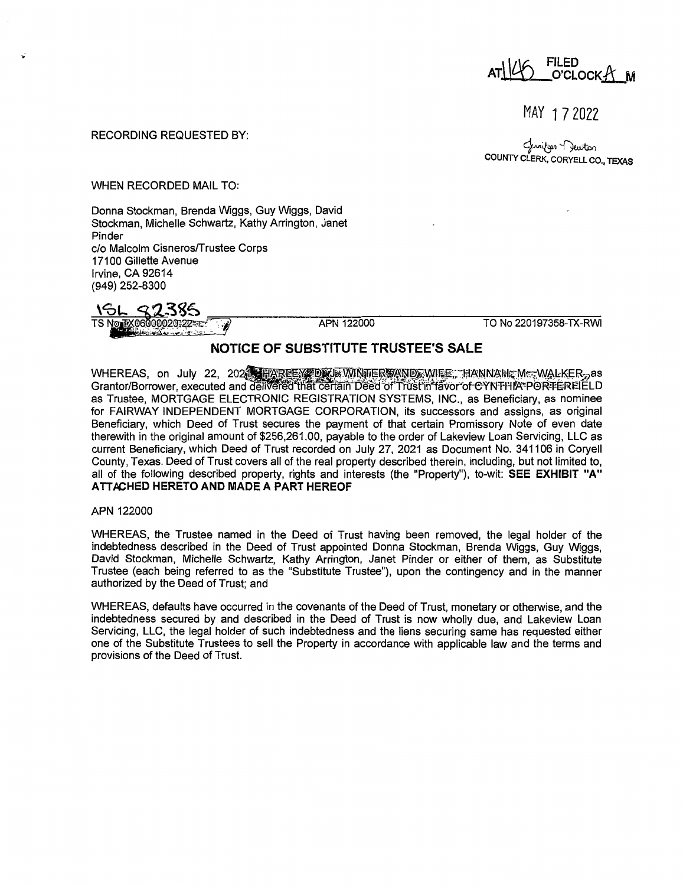FILED<br>O'CLOCK-A<sup>N</sup>

MAY 1 7 2022

### RECORDING REQUESTED BY:

لمنزویہ ۲ ایستر<br>COUNTY CLERK, CORYELL CO., TEXAS

### WHEN RECORDED MAIL TO:

Donna Stockman, Brenda Wiggs, Guy Wiggs, David Stockman, Michelle Schwartz, Kathy Arrington, Janet Pinder c/o Malcolm Cisneros/Trustee Corps 17100 Gillette Avenue Irvine, CA 92614 (949) 252-8300

<u>\GL S2385</u><br>TS Now EX06000020:22 FIRE TO No 220197358-TX-RWI

## **NOTICE OF SUBSTITUTE TRUSTEE'S SALE**

WHEREAS, on July 22, 2021, and the exception which was applicated the explored that in the extra on July 22, 20<br>Grantor/Borrower, executed and delivered that certain Deed of Trust'in favor of CYNTPIIA®PORTEREIELD as Trustee, MORTGAGE ELECTRONIC REGISTRATION SYSTEMS, INC., as Beneficiary, as nominee for FAIRWAY INDEPENDENT MORTGAGE CORPORATION, its successors and assigns, as original Beneficiary, which Deed of Trust secures the payment of that certain Promissory Note of even date therewith in the original amount of \$256,261.00, payable to the order of Lakeview Loan Servicing, LLC as current Beneficiary, which Deed of Trust recorded on July 27, 2021 as Document No. 341106 in Coryell County, Texas. Deed of Trust covers all of the real property described therein, including, but not limited to, all of the following described property, rights and interests (the "Property"), to-wit: **SEE EXHIBIT "A" ATTACHED HERETO AND MADE A PART HEREOF** 

**APN** 122000

WHEREAS, the Trustee named in the Deed of Trust having been removed, the legal holder of the indebtedness described in the Deed of Trust appointed Donna Stockman, Brenda Wiggs, Guy Wiggs, David Stockman, Michelle Schwartz, Kathy Arrington, Janet Pinder or either of them, as Substitute Trustee (each being referred to as the "Substitute Trustee"), upon the contingency and in the manner authorized by the Deed of Trust; and

WHEREAS, defaults have occurred in the covenants of the Deed of Trust, monetary or otherwise, and the indebtedness secured by and described in the Deed of Trust is now wholly due, and Lakeview Loan Servicing, LLC, the legal holder of such indebtedness and the liens securing same has requested either one of the Substitute Trustees to sell the Property in accordance with applicable law and the terms and provisions of the Deed of Trust.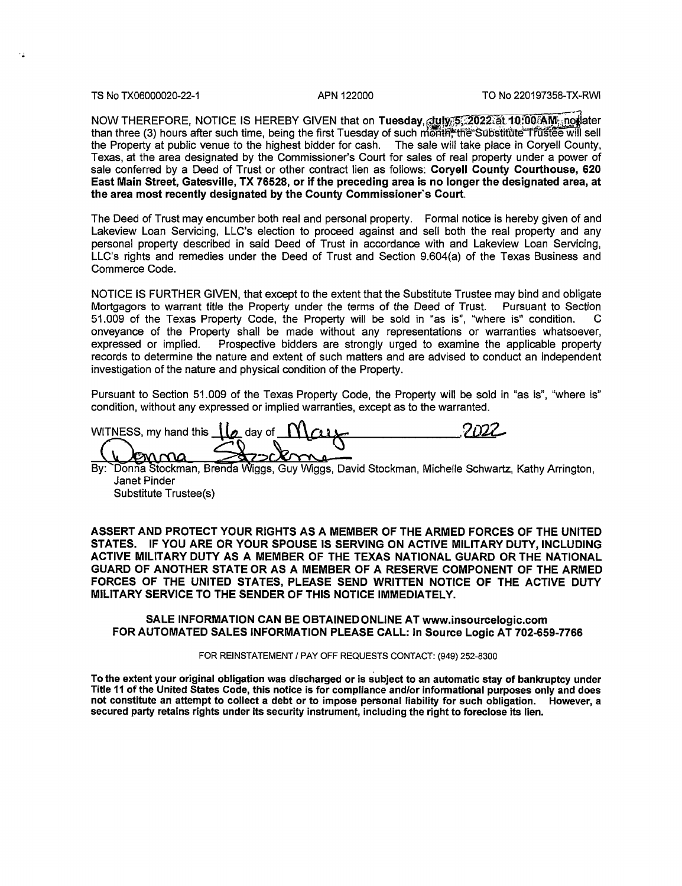..

NOW THEREFORE, NOTICE IS HEREBY GIVEN that on Tuesday, duly 5,2022 at 10:00 AM; not ater than three (3) hours after such time, being the first Tuesday of such month. the Substitute Trustee will sell the Property at public venue to the highest bidder for cash. The sale will take place in Coryell County, Texas, at the area designated by the Commissioner's Court for sales of real property under a power of sale conferred by a Deed of Trust or other contract lien as follows: **Coryell County Courthouse, 620 East Main Street, Gatesville, TX 76528, or if the preceding area is no longer the designated area, at the area most recently designated by the County Commissioner's Court.** 

The Deed of Trust may encumber both real and personal property. Formal notice is hereby given of and Lakeview Loan Servicing, LLC's election to proceed against and sell both the real property and any personal property described in said Deed of Trust in accordance with and Lakeview Loan Servicing, LLC's rights and remedies under the Deed of Trust and Section 9.604(a) of the Texas Business and Commerce Code.

NOTICE IS FURTHER GIVEN, that except to the extent that the Substitute Trustee may bind and obligate Mortgagors to warrant title the Property under the terms of the Deed of Trust. Pursuant to Section 51.009 of the Texas Property Code, the Property will be sold in "as is", "where is" condition. C onveyance of the Property shall be made without any representations or warranties whatsoever, expressed or implied. Prospective bidders are strongly urged to examine the applicable property records to determine the nature and extent of such matters and are advised to conduct an independent investigation of the nature and physical condition of the Property.

Pursuant to Section 51.009 of the Texas Property Code, the Property will be sold in "as is", "where is" condition, without any expressed or implied warranties, except as to the warranted.

WITNESS, my hand this  $\begin{bmatrix} 1 & 0 \\ 0 & \text{day of} \end{bmatrix}$   $\begin{bmatrix} 0 & 0 \\ 0 & \text{day of} \end{bmatrix}$ WITNESS, my hand this **11<sub>2</sub>** day of **Maux**<br>By: Donna Stockman, Brenda Wiggs, Guy Wiggs, David Stockman, Michelle Schwartz, Kathy Arrington,

Janet Pinder Substitute Trustee(s)

**ASSERT AND PROTECT YOUR RIGHTS AS A MEMBER OF THE ARMED FORCES OF THE UNITED STATES. IF YOU ARE OR YOUR SPOUSE IS SERVING ON ACTIVE MILITARY DUTY, INCLUDING**  ACTIVE MILITARY DUTY **AS A** MEMBER OF THE TEXAS NATIONAL GUARD OR THE NATIONAL GUARD OF ANOTHER STATE OR **AS A** MEMBER OF A RESERVE COMPONENT OF THE ARMED FORCES OF THE UNITED STATES, PLEASE SEND WRITTEN NOTICE OF THE ACTIVE DUTY MILITARY SERVICE TO THE SENDER OF THIS NOTICE IMMEDIATELY.

### SALE INFORMATION CAN BE OBTAINED ONLINE AT www.insourcelogic.com FOR AUTOMATED SALES INFORMATION PLEASE CALL: In Source Logic AT 702-659-7766

#### FOR REINSTATEMENT/ PAY OFF REQUESTS CONTACT: (949) 252-8300

To the extent your original obligation was discharged or is subject to an automatic stay of bankruptcy under Title 11 of the United States Code, this notice is for compliance and/or informational purposes only and does not constitute an attempt to collect a debt or to impose personal liability for such obligation. However, a secured party retains rights under its security instrument, including the right to foreclose its lien.